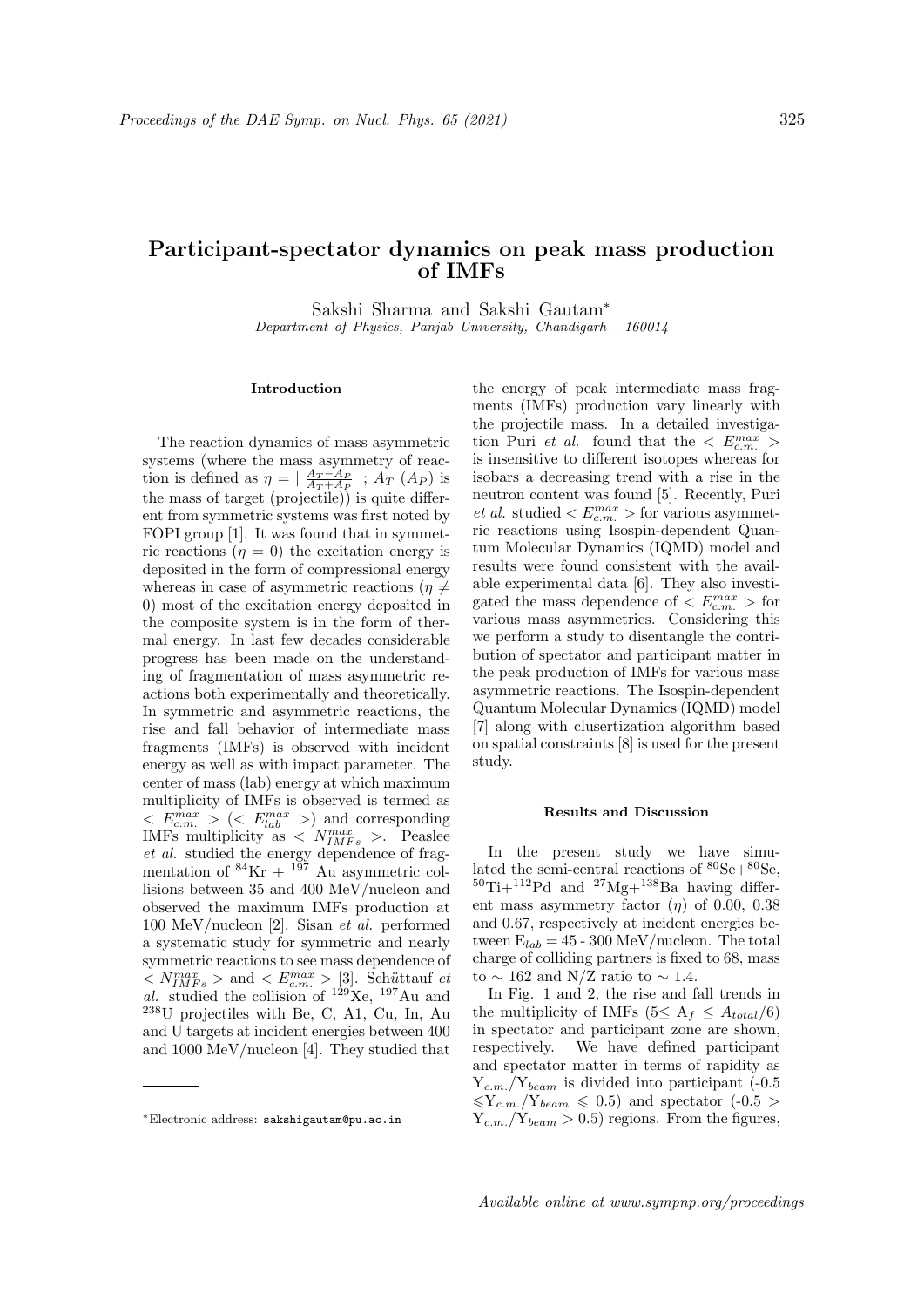## Participant-spectator dynamics on peak mass production of IMFs

Sakshi Sharma and Sakshi Gautam<sup>∗</sup> Department of Physics, Panjab University, Chandigarh - 160014

## Introduction

The reaction dynamics of mass asymmetric systems (where the mass asymmetry of reaction is defined as  $\eta = |\frac{A_T - A_P}{A_T + A_P}|$ ;  $\ddot{A_T} (A_P)$  is the mass of target (projectile)) is quite different from symmetric systems was first noted by FOPI group [1]. It was found that in symmetric reactions  $(\eta = 0)$  the excitation energy is deposited in the form of compressional energy whereas in case of asymmetric reactions ( $\eta \neq$ 0) most of the excitation energy deposited in the composite system is in the form of thermal energy. In last few decades considerable progress has been made on the understanding of fragmentation of mass asymmetric reactions both experimentally and theoretically. In symmetric and asymmetric reactions, the rise and fall behavior of intermediate mass fragments (IMFs) is observed with incident energy as well as with impact parameter. The center of mass (lab) energy at which maximum multiplicity of IMFs is observed is termed as  $\langle E_{c.m.}^{max} \rangle$  ( $\langle E_{lab}^{max} \rangle$ ) and corresponding IMFs multiplicity as  $\langle N_{IMFs}^{max} \rangle$ . Peaslee et al. studied the energy dependence of fragmentation of  ${}^{84}\text{Kr} + {}^{197}$  Au asymmetric collisions between 35 and 400 MeV/nucleon and observed the maximum IMFs production at 100 MeV/nucleon [2]. Sisan et al. performed a systematic study for symmetric and nearly symmetric reactions to see mass dependence of  $\langle N_{IMFs}^{max} \rangle$  and  $\langle E_{c.m.}^{max} \rangle$  [3]. Schüttauf et al. studied the collision of  $129$ Xe,  $197$ Au and <sup>238</sup>U projectiles with Be, C, A1, Cu, In, Au and U targets at incident energies between 400 and 1000 MeV/nucleon [4]. They studied that

the energy of peak intermediate mass fragments (IMFs) production vary linearly with the projectile mass. In a detailed investigation Puri *et al.* found that the  $\langle E_{c.m.}^{max} \rangle$ is insensitive to different isotopes whereas for isobars a decreasing trend with a rise in the neutron content was found [5]. Recently, Puri et al. studied  $\langle E_{c.m.}^{max} \rangle$  for various asymmetric reactions using Isospin-dependent Quantum Molecular Dynamics (IQMD) model and results were found consistent with the available experimental data [6]. They also investigated the mass dependence of  $\langle E_{c.m.}^{max} \rangle$  for various mass asymmetries. Considering this we perform a study to disentangle the contribution of spectator and participant matter in the peak production of IMFs for various mass asymmetric reactions. The Isospin-dependent Quantum Molecular Dynamics (IQMD) model [7] along with clusertization algorithm based on spatial constraints [8] is used for the present study.

## Results and Discussion

In the present study we have simulated the semi-central reactions of  $^{80}\mathrm{Se+}^{80}\mathrm{Se},$  $50$ Ti+ $112$ Pd and  $27$ Mg+ $138$ Ba having different mass asymmetry factor  $(\eta)$  of 0.00, 0.38 and 0.67, respectively at incident energies between  $E_{lab} = 45 - 300 \text{ MeV/nucleon}$ . The total charge of colliding partners is fixed to 68, mass to  $\sim$  162 and N/Z ratio to  $\sim$  1.4.

In Fig. 1 and 2, the rise and fall trends in the multiplicity of IMFs (5 $\leq A_f \leq A_{total}/6$ ) in spectator and participant zone are shown, respectively. We have defined participant and spectator matter in terms of rapidity as  $Y_{c.m.}/Y_{beam}$  is divided into participant (-0.5)  $\langle Y_{c.m.}/Y_{beam} \leq 0.5 \rangle$  and spectator (-0.5 >  $Y_{c,m}/Y_{beam} > 0.5$  regions. From the figures,

<sup>∗</sup>Electronic address: sakshigautam@pu.ac.in